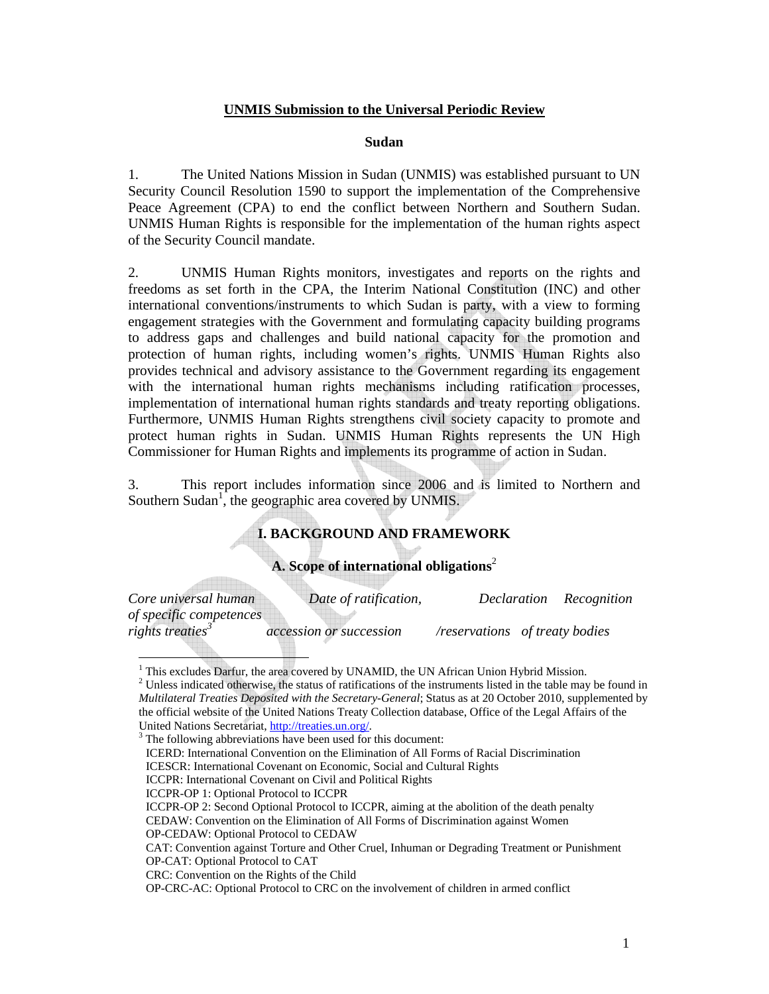### **UNMIS Submission to the Universal Periodic Review**

#### **Sudan**

1. The United Nations Mission in Sudan (UNMIS) was established pursuant to UN Security Council Resolution 1590 to support the implementation of the Comprehensive Peace Agreement (CPA) to end the conflict between Northern and Southern Sudan. UNMIS Human Rights is responsible for the implementation of the human rights aspect of the Security Council mandate.

2. UNMIS Human Rights monitors, investigates and reports on the rights and freedoms as set forth in the CPA, the Interim National Constitution (INC) and other international conventions/instruments to which Sudan is party, with a view to forming engagement strategies with the Government and formulating capacity building programs to address gaps and challenges and build national capacity for the promotion and protection of human rights, including women's rights. UNMIS Human Rights also provides technical and advisory assistance to the Government regarding its engagement with the international human rights mechanisms including ratification processes, implementation of international human rights standards and treaty reporting obligations. Furthermore, UNMIS Human Rights strengthens civil society capacity to promote and protect human rights in Sudan. UNMIS Human Rights represents the UN High Commissioner for Human Rights and implements its programme of action in Sudan.

3. This report includes information since 2006 and is limited to Northern and Southern Sudan<sup>1</sup>, the geographic area covered by UNMIS.

# **I. BACKGROUND AND FRAMEWORK**

## **A. Scope of international obligations**<sup>2</sup>

| Core universal human         | Date of ratification,          |                                | Declaration Recognition |
|------------------------------|--------------------------------|--------------------------------|-------------------------|
| of specific competences      |                                |                                |                         |
| rights treaties <sup>3</sup> | <i>accession or succession</i> | /reservations of treaty bodies |                         |

 1 This excludes Darfur, the area covered by UNAMID, the UN African Union Hybrid Mission.

<u>a Milliann ann an 1964. Bhun ann an 1964 ann an 1964 ann an 1964 ann an 1964 ann an 1964. Thus</u>

T

 $2^2$  Unless indicated otherwise, the status of ratifications of the instruments listed in the table may be found in *Multilateral Treaties Deposited with the Secretary-General*; Status as at 20 October 2010, supplemented by the official website of the United Nations Treaty Collection database, Office of the Legal Affairs of the United Nations Secretariat, http://treaties.un.org/. 3

The following abbreviations have been used for this document:

ICERD: International Convention on the Elimination of All Forms of Racial Discrimination

ICESCR: International Covenant on Economic, Social and Cultural Rights

ICCPR: International Covenant on Civil and Political Rights

ICCPR-OP 1: Optional Protocol to ICCPR

ICCPR-OP 2: Second Optional Protocol to ICCPR, aiming at the abolition of the death penalty CEDAW: Convention on the Elimination of All Forms of Discrimination against Women OP-CEDAW: Optional Protocol to CEDAW

CAT: Convention against Torture and Other Cruel, Inhuman or Degrading Treatment or Punishment OP-CAT: Optional Protocol to CAT

CRC: Convention on the Rights of the Child

OP-CRC-AC: Optional Protocol to CRC on the involvement of children in armed conflict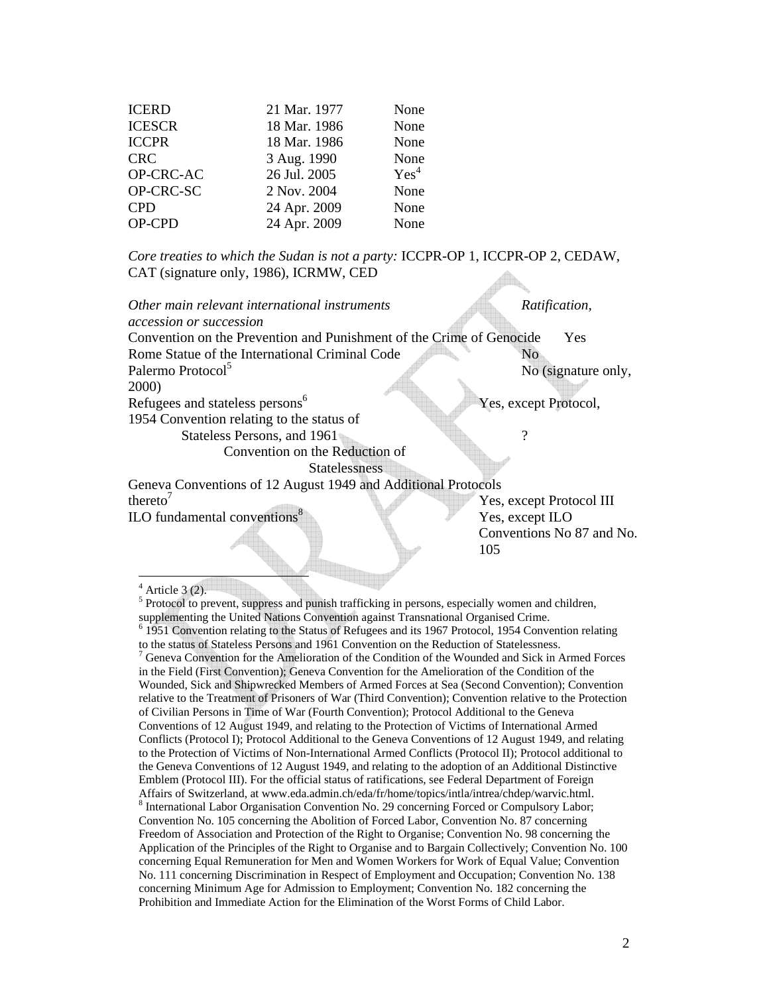| <b>ICERD</b>  | 21 Mar. 1977 | None             |
|---------------|--------------|------------------|
| <b>ICESCR</b> | 18 Mar. 1986 | None             |
| <b>ICCPR</b>  | 18 Mar. 1986 | None             |
| <b>CRC</b>    | 3 Aug. 1990  | None             |
| OP-CRC-AC     | 26 Jul. 2005 | Yes <sup>4</sup> |
| OP-CRC-SC     | 2 Nov. 2004  | None             |
| <b>CPD</b>    | 24 Apr. 2009 | None             |
| OP-CPD        | 24 Apr. 2009 | None             |

*Core treaties to which the Sudan is not a party:* ICCPR-OP 1, ICCPR-OP 2, CEDAW, CAT (signature only, 1986), ICRMW, CED

*Other main relevant international instruments* Ratification,

Convention on the Prevention and Punishment of the Crime of Genocide Yes Rome Statue of the International Criminal Code No Palermo Protocol<sup>5</sup> No (signature only, 2000)

Refugees and stateless persons<sup>6</sup>

*accession or succession*

1954 Convention relating to the status of

Stateless Persons, and 1961 ?

Convention on the Reduction of

**Statelessness** 

Geneva Conventions of 12 August 1949 and Additional Protocols thereto<sup>7</sup>  $\text{ILO}$  fundamental conventions<sup>8</sup>

 Yes, except Protocol III Yes, except ILO Conventions No 87 and No. 105

Yes, except Protocol,

 $4$  Article 3 (2).

 $<sup>5</sup>$  Protocol to prevent, suppress and punish trafficking in persons, especially women and children,</sup>

supplementing the United Nations Convention against Transnational Organised Crime.

<sup>&</sup>lt;sup>6</sup> 1951 Convention relating to the Status of Refugees and its 1967 Protocol, 1954 Convention relating to the status of Stateless Persons and 1961 Convention on the Reduction of Statelessness.

<sup>7</sup> Geneva Convention for the Amelioration of the Condition of the Wounded and Sick in Armed Forces in the Field (First Convention); Geneva Convention for the Amelioration of the Condition of the Wounded, Sick and Shipwrecked Members of Armed Forces at Sea (Second Convention); Convention relative to the Treatment of Prisoners of War (Third Convention); Convention relative to the Protection of Civilian Persons in Time of War (Fourth Convention); Protocol Additional to the Geneva Conventions of 12 August 1949, and relating to the Protection of Victims of International Armed Conflicts (Protocol I); Protocol Additional to the Geneva Conventions of 12 August 1949, and relating to the Protection of Victims of Non-International Armed Conflicts (Protocol II); Protocol additional to the Geneva Conventions of 12 August 1949, and relating to the adoption of an Additional Distinctive Emblem (Protocol III). For the official status of ratifications, see Federal Department of Foreign Affairs of Switzerland, at www.eda.admin.ch/eda/fr/home/topics/intla/intrea/chdep/warvic.html. <sup>8</sup> International Labor Organisation Convention No. 29 concerning Forced or Compulsory Labor; Convention No. 105 concerning the Abolition of Forced Labor, Convention No. 87 concerning Freedom of Association and Protection of the Right to Organise; Convention No. 98 concerning the Application of the Principles of the Right to Organise and to Bargain Collectively; Convention No. 100 concerning Equal Remuneration for Men and Women Workers for Work of Equal Value; Convention No. 111 concerning Discrimination in Respect of Employment and Occupation; Convention No. 138 concerning Minimum Age for Admission to Employment; Convention No. 182 concerning the Prohibition and Immediate Action for the Elimination of the Worst Forms of Child Labor.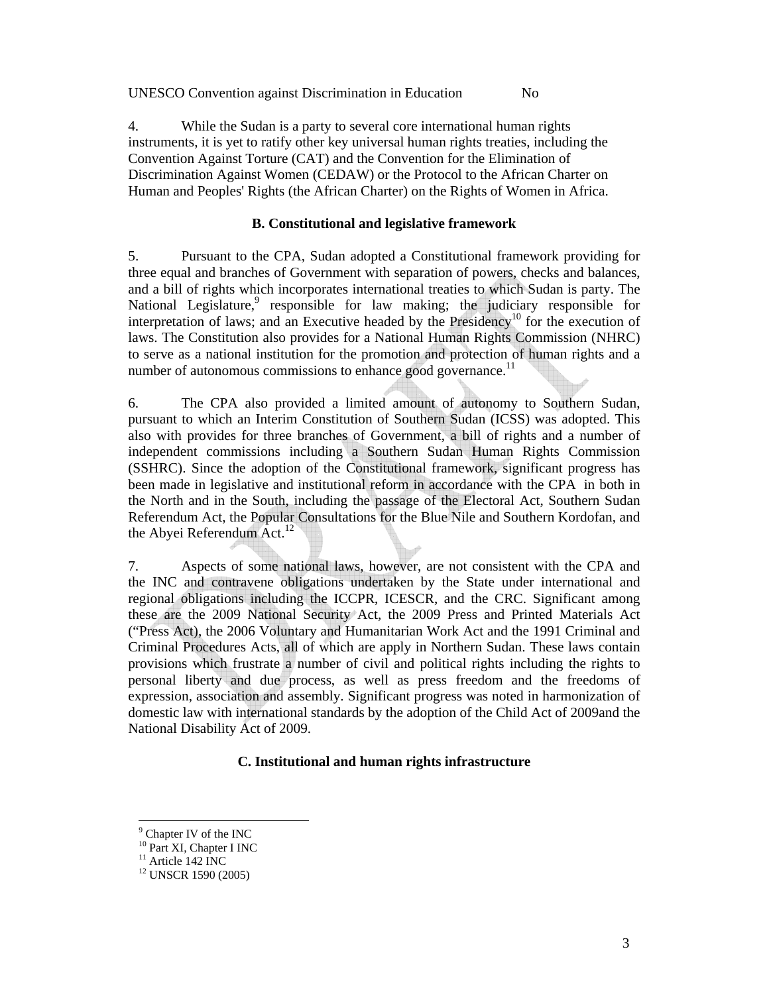UNESCO Convention against Discrimination in Education No

4. While the Sudan is a party to several core international human rights instruments, it is yet to ratify other key universal human rights treaties, including the Convention Against Torture (CAT) and the Convention for the Elimination of Discrimination Against Women (CEDAW) or the Protocol to the African Charter on Human and Peoples' Rights (the African Charter) on the Rights of Women in Africa.

### **B. Constitutional and legislative framework**

5. Pursuant to the CPA, Sudan adopted a Constitutional framework providing for three equal and branches of Government with separation of powers, checks and balances, and a bill of rights which incorporates international treaties to which Sudan is party. The National Legislature,<sup>9</sup> responsible for law making; the judiciary responsible for interpretation of laws; and an Executive headed by the Presidency<sup>10</sup> for the execution of laws. The Constitution also provides for a National Human Rights Commission (NHRC) to serve as a national institution for the promotion and protection of human rights and a number of autonomous commissions to enhance good governance.<sup>11</sup>

6. The CPA also provided a limited amount of autonomy to Southern Sudan, pursuant to which an Interim Constitution of Southern Sudan (ICSS) was adopted. This also with provides for three branches of Government, a bill of rights and a number of independent commissions including a Southern Sudan Human Rights Commission (SSHRC). Since the adoption of the Constitutional framework, significant progress has been made in legislative and institutional reform in accordance with the CPA in both in the North and in the South, including the passage of the Electoral Act, Southern Sudan Referendum Act, the Popular Consultations for the Blue Nile and Southern Kordofan, and the Abyei Referendum Act.<sup>12</sup>

7. Aspects of some national laws, however, are not consistent with the CPA and the INC and contravene obligations undertaken by the State under international and regional obligations including the ICCPR, ICESCR, and the CRC. Significant among these are the 2009 National Security Act, the 2009 Press and Printed Materials Act ("Press Act), the 2006 Voluntary and Humanitarian Work Act and the 1991 Criminal and Criminal Procedures Acts, all of which are apply in Northern Sudan. These laws contain provisions which frustrate a number of civil and political rights including the rights to personal liberty and due process, as well as press freedom and the freedoms of expression, association and assembly. Significant progress was noted in harmonization of domestic law with international standards by the adoption of the Child Act of 2009and the National Disability Act of 2009.

## **C. Institutional and human rights infrastructure**

<sup>&</sup>lt;sup>9</sup> Chapter IV of the INC

<sup>&</sup>lt;sup>10</sup> Part XI, Chapter I INC

 $11$  Article 142 INC

<sup>12</sup> UNSCR 1590 (2005)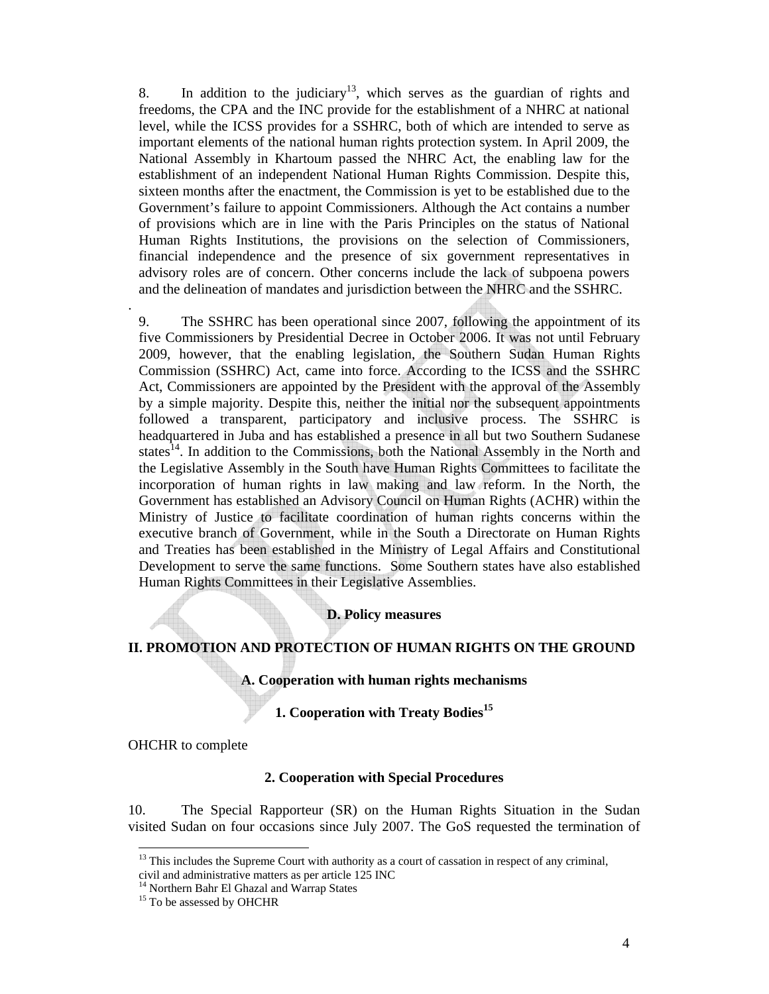8. In addition to the judiciary<sup>13</sup>, which serves as the guardian of rights and freedoms, the CPA and the INC provide for the establishment of a NHRC at national level, while the ICSS provides for a SSHRC, both of which are intended to serve as important elements of the national human rights protection system. In April 2009, the National Assembly in Khartoum passed the NHRC Act, the enabling law for the establishment of an independent National Human Rights Commission. Despite this, sixteen months after the enactment, the Commission is yet to be established due to the Government's failure to appoint Commissioners. Although the Act contains a number of provisions which are in line with the Paris Principles on the status of National Human Rights Institutions, the provisions on the selection of Commissioners, financial independence and the presence of six government representatives in advisory roles are of concern. Other concerns include the lack of subpoena powers and the delineation of mandates and jurisdiction between the NHRC and the SSHRC.

9. The SSHRC has been operational since 2007, following the appointment of its five Commissioners by Presidential Decree in October 2006. It was not until February 2009, however, that the enabling legislation, the Southern Sudan Human Rights Commission (SSHRC) Act, came into force. According to the ICSS and the SSHRC Act, Commissioners are appointed by the President with the approval of the Assembly by a simple majority. Despite this, neither the initial nor the subsequent appointments followed a transparent, participatory and inclusive process. The SSHRC is headquartered in Juba and has established a presence in all but two Southern Sudanese states<sup>14</sup>. In addition to the Commissions, both the National Assembly in the North and the Legislative Assembly in the South have Human Rights Committees to facilitate the incorporation of human rights in law making and law reform. In the North, the Government has established an Advisory Council on Human Rights (ACHR) within the Ministry of Justice to facilitate coordination of human rights concerns within the executive branch of Government, while in the South a Directorate on Human Rights and Treaties has been established in the Ministry of Legal Affairs and Constitutional Development to serve the same functions. Some Southern states have also established Human Rights Committees in their Legislative Assemblies.

**D. Policy measures** 

### **II. PROMOTION AND PROTECTION OF HUMAN RIGHTS ON THE GROUND**

**A. Cooperation with human rights mechanisms** 

**1. Cooperation with Treaty Bodies<sup>15</sup>**

OHCHR to complete

 $\overline{a}$ 

.

#### **2. Cooperation with Special Procedures**

10. The Special Rapporteur (SR) on the Human Rights Situation in the Sudan visited Sudan on four occasions since July 2007. The GoS requested the termination of

 $13$  This includes the Supreme Court with authority as a court of cassation in respect of any criminal, civil and administrative matters as per article 125 INC

<sup>&</sup>lt;sup>14</sup> Northern Bahr El Ghazal and Warrap States

<sup>&</sup>lt;sup>15</sup> To be assessed by OHCHR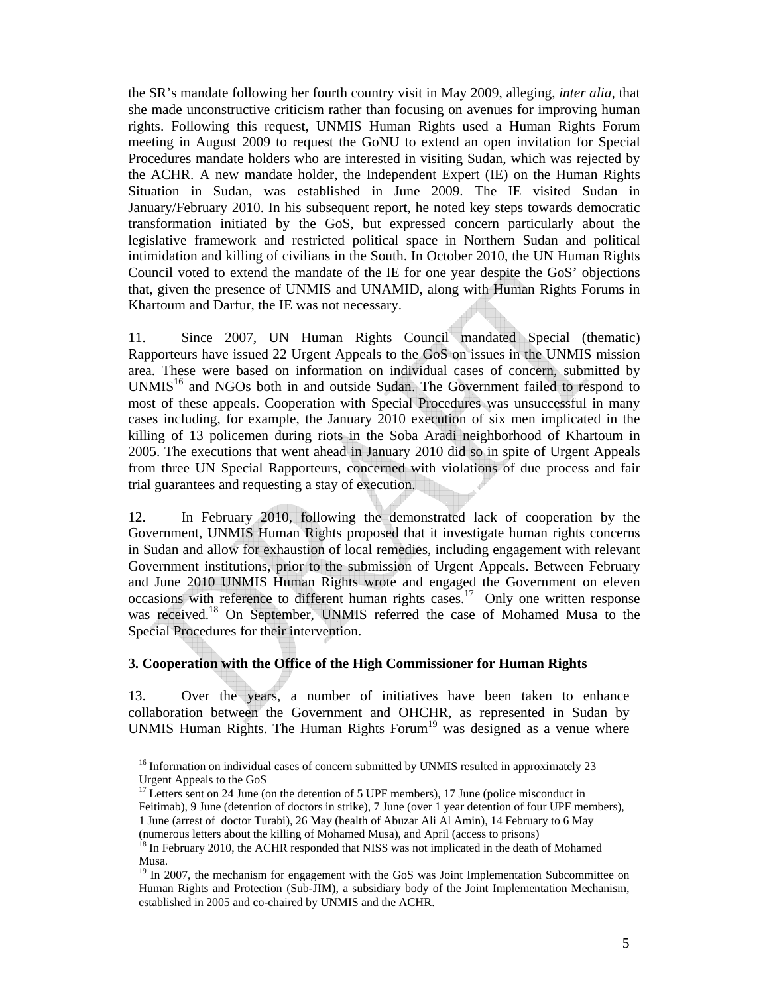the SR's mandate following her fourth country visit in May 2009, alleging, *inter alia,* that she made unconstructive criticism rather than focusing on avenues for improving human rights. Following this request, UNMIS Human Rights used a Human Rights Forum meeting in August 2009 to request the GoNU to extend an open invitation for Special Procedures mandate holders who are interested in visiting Sudan, which was rejected by the ACHR. A new mandate holder, the Independent Expert (IE) on the Human Rights Situation in Sudan, was established in June 2009. The IE visited Sudan in January/February 2010. In his subsequent report, he noted key steps towards democratic transformation initiated by the GoS, but expressed concern particularly about the legislative framework and restricted political space in Northern Sudan and political intimidation and killing of civilians in the South. In October 2010, the UN Human Rights Council voted to extend the mandate of the IE for one year despite the GoS' objections that, given the presence of UNMIS and UNAMID, along with Human Rights Forums in Khartoum and Darfur, the IE was not necessary.

11. Since 2007, UN Human Rights Council mandated Special (thematic) Rapporteurs have issued 22 Urgent Appeals to the GoS on issues in the UNMIS mission area. These were based on information on individual cases of concern, submitted by  $UNMIS<sup>16</sup>$  and NGOs both in and outside Sudan. The Government failed to respond to most of these appeals. Cooperation with Special Procedures was unsuccessful in many cases including, for example, the January 2010 execution of six men implicated in the killing of 13 policemen during riots in the Soba Aradi neighborhood of Khartoum in 2005. The executions that went ahead in January 2010 did so in spite of Urgent Appeals from three UN Special Rapporteurs, concerned with violations of due process and fair trial guarantees and requesting a stay of execution.

12. In February 2010, following the demonstrated lack of cooperation by the Government, UNMIS Human Rights proposed that it investigate human rights concerns in Sudan and allow for exhaustion of local remedies, including engagement with relevant Government institutions, prior to the submission of Urgent Appeals. Between February and June 2010 UNMIS Human Rights wrote and engaged the Government on eleven occasions with reference to different human rights cases.<sup>17</sup> Only one written response was received.<sup>18</sup> On September, UNMIS referred the case of Mohamed Musa to the Special Procedures for their intervention.

### **3. Cooperation with the Office of the High Commissioner for Human Rights**

13. Over the years, a number of initiatives have been taken to enhance collaboration between the Government and OHCHR, as represented in Sudan by UNMIS Human Rights. The Human Rights Forum<sup>19</sup> was designed as a venue where

 $16$  Information on individual cases of concern submitted by UNMIS resulted in approximately 23 Urgent Appeals to the GoS

 $17$  Letters sent on 24 June (on the detention of 5 UPF members), 17 June (police misconduct in Feitimab), 9 June (detention of doctors in strike), 7 June (over 1 year detention of four UPF members), 1 June (arrest of doctor Turabi), 26 May (health of Abuzar Ali Al Amin), 14 February to 6 May (numerous letters about the killing of Mohamed Musa), and April (access to prisons)

<sup>&</sup>lt;sup>18</sup> In February 2010, the ACHR responded that NISS was not implicated in the death of Mohamed Musa.

 $19$  In 2007, the mechanism for engagement with the GoS was Joint Implementation Subcommittee on Human Rights and Protection (Sub-JIM), a subsidiary body of the Joint Implementation Mechanism, established in 2005 and co-chaired by UNMIS and the ACHR.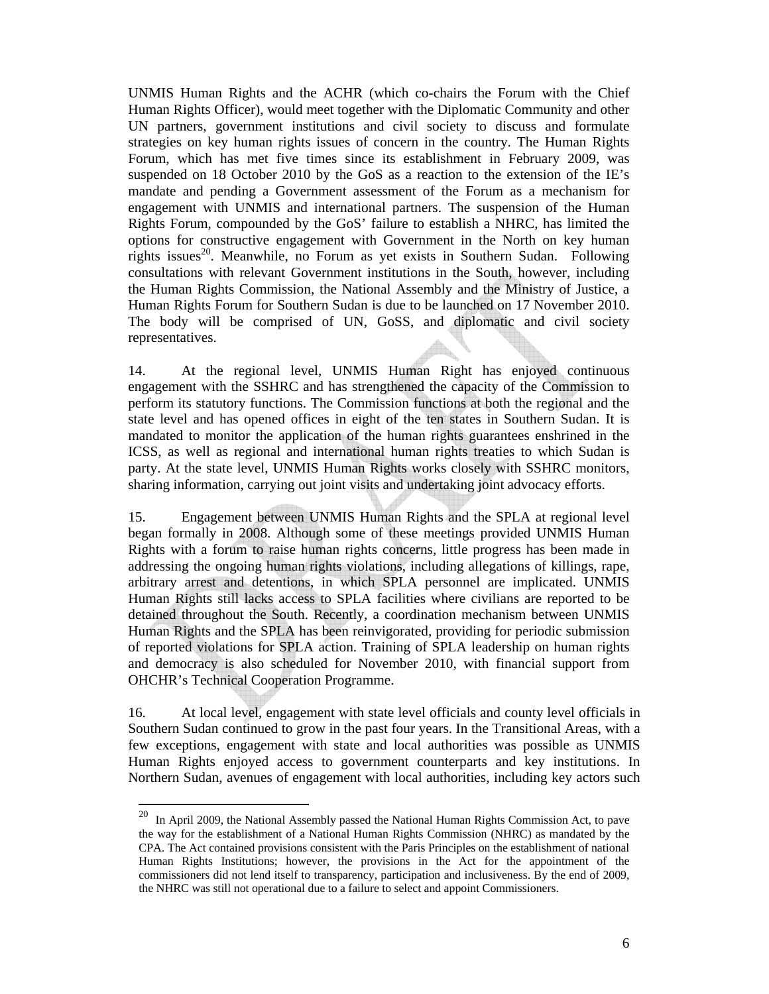UNMIS Human Rights and the ACHR (which co-chairs the Forum with the Chief Human Rights Officer), would meet together with the Diplomatic Community and other UN partners, government institutions and civil society to discuss and formulate strategies on key human rights issues of concern in the country. The Human Rights Forum, which has met five times since its establishment in February 2009, was suspended on 18 October 2010 by the GoS as a reaction to the extension of the IE's mandate and pending a Government assessment of the Forum as a mechanism for engagement with UNMIS and international partners. The suspension of the Human Rights Forum, compounded by the GoS' failure to establish a NHRC, has limited the options for constructive engagement with Government in the North on key human rights issues<sup>20</sup>. Meanwhile, no Forum as yet exists in Southern Sudan. Following consultations with relevant Government institutions in the South, however, including the Human Rights Commission, the National Assembly and the Ministry of Justice, a Human Rights Forum for Southern Sudan is due to be launched on 17 November 2010. The body will be comprised of UN, GoSS, and diplomatic and civil society representatives.

14. At the regional level, UNMIS Human Right has enjoyed continuous engagement with the SSHRC and has strengthened the capacity of the Commission to perform its statutory functions. The Commission functions at both the regional and the state level and has opened offices in eight of the ten states in Southern Sudan. It is mandated to monitor the application of the human rights guarantees enshrined in the ICSS, as well as regional and international human rights treaties to which Sudan is party. At the state level, UNMIS Human Rights works closely with SSHRC monitors, sharing information, carrying out joint visits and undertaking joint advocacy efforts.

15. Engagement between UNMIS Human Rights and the SPLA at regional level began formally in 2008. Although some of these meetings provided UNMIS Human Rights with a forum to raise human rights concerns, little progress has been made in addressing the ongoing human rights violations, including allegations of killings, rape, arbitrary arrest and detentions, in which SPLA personnel are implicated. UNMIS Human Rights still lacks access to SPLA facilities where civilians are reported to be detained throughout the South. Recently, a coordination mechanism between UNMIS Human Rights and the SPLA has been reinvigorated, providing for periodic submission of reported violations for SPLA action. Training of SPLA leadership on human rights and democracy is also scheduled for November 2010, with financial support from OHCHR's Technical Cooperation Programme.

16. At local level, engagement with state level officials and county level officials in Southern Sudan continued to grow in the past four years. In the Transitional Areas, with a few exceptions, engagement with state and local authorities was possible as UNMIS Human Rights enjoyed access to government counterparts and key institutions. In Northern Sudan, avenues of engagement with local authorities, including key actors such

 $20\,$ 20 In April 2009, the National Assembly passed the National Human Rights Commission Act, to pave the way for the establishment of a National Human Rights Commission (NHRC) as mandated by the CPA. The Act contained provisions consistent with the Paris Principles on the establishment of national Human Rights Institutions; however, the provisions in the Act for the appointment of the commissioners did not lend itself to transparency, participation and inclusiveness. By the end of 2009, the NHRC was still not operational due to a failure to select and appoint Commissioners.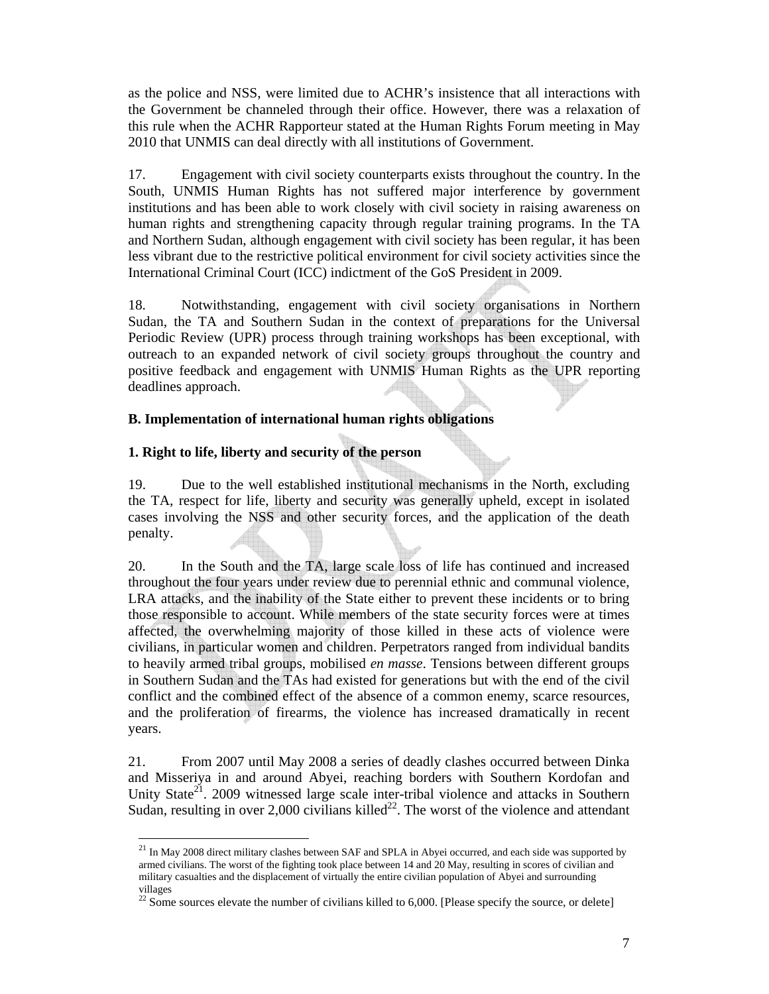as the police and NSS, were limited due to ACHR's insistence that all interactions with the Government be channeled through their office. However, there was a relaxation of this rule when the ACHR Rapporteur stated at the Human Rights Forum meeting in May 2010 that UNMIS can deal directly with all institutions of Government.

17. Engagement with civil society counterparts exists throughout the country. In the South, UNMIS Human Rights has not suffered major interference by government institutions and has been able to work closely with civil society in raising awareness on human rights and strengthening capacity through regular training programs. In the TA and Northern Sudan, although engagement with civil society has been regular, it has been less vibrant due to the restrictive political environment for civil society activities since the International Criminal Court (ICC) indictment of the GoS President in 2009.

18. Notwithstanding, engagement with civil society organisations in Northern Sudan, the TA and Southern Sudan in the context of preparations for the Universal Periodic Review (UPR) process through training workshops has been exceptional, with outreach to an expanded network of civil society groups throughout the country and positive feedback and engagement with UNMIS Human Rights as the UPR reporting deadlines approach.

### **B. Implementation of international human rights obligations**

## **1. Right to life, liberty and security of the person**

19. Due to the well established institutional mechanisms in the North, excluding the TA, respect for life, liberty and security was generally upheld, except in isolated cases involving the NSS and other security forces, and the application of the death penalty.

20. In the South and the TA, large scale loss of life has continued and increased throughout the four years under review due to perennial ethnic and communal violence, LRA attacks, and the inability of the State either to prevent these incidents or to bring those responsible to account. While members of the state security forces were at times affected, the overwhelming majority of those killed in these acts of violence were civilians, in particular women and children. Perpetrators ranged from individual bandits to heavily armed tribal groups, mobilised *en masse*. Tensions between different groups in Southern Sudan and the TAs had existed for generations but with the end of the civil conflict and the combined effect of the absence of a common enemy, scarce resources, and the proliferation of firearms, the violence has increased dramatically in recent years.

21. From 2007 until May 2008 a series of deadly clashes occurred between Dinka and Misseriya in and around Abyei, reaching borders with Southern Kordofan and Unity State<sup>21</sup>. 2009 witnessed large scale inter-tribal violence and attacks in Southern Sudan, resulting in over 2,000 civilians killed<sup>22</sup>. The worst of the violence and attendant

 $\overline{a}$  $^{21}$  In May 2008 direct military clashes between SAF and SPLA in Abyei occurred, and each side was supported by armed civilians. The worst of the fighting took place between 14 and 20 May, resulting in scores of civilian and military casualties and the displacement of virtually the entire civilian population of Abyei and surrounding villages

 $\frac{22}{22}$  Some sources elevate the number of civilians killed to 6,000. [Please specify the source, or delete]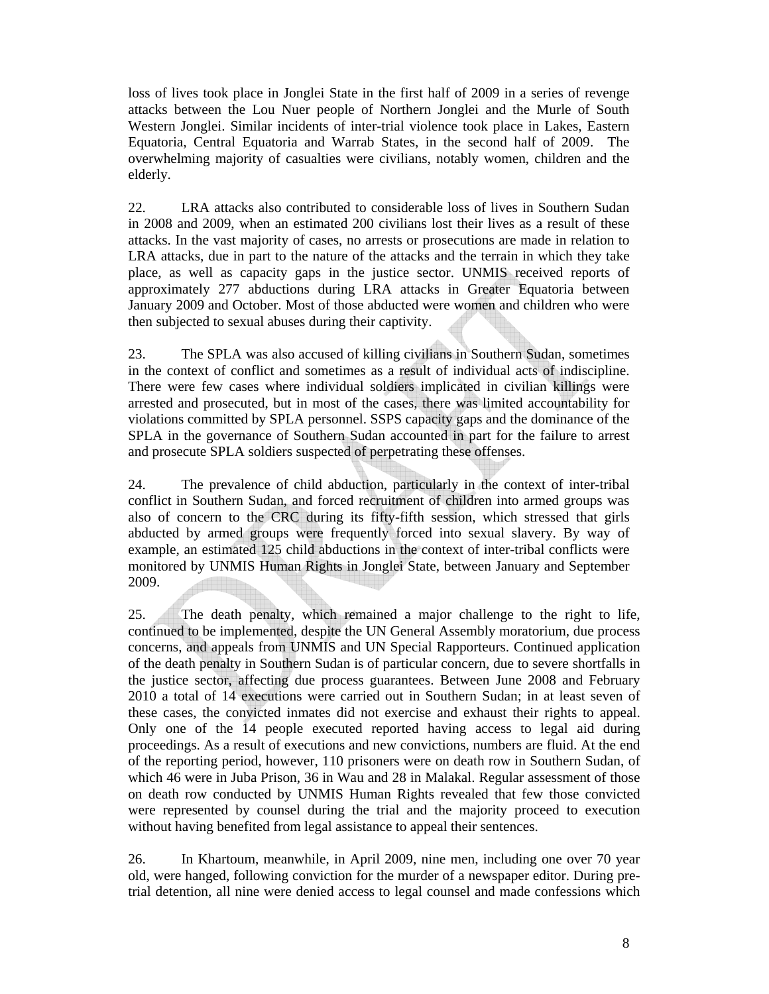loss of lives took place in Jonglei State in the first half of 2009 in a series of revenge attacks between the Lou Nuer people of Northern Jonglei and the Murle of South Western Jonglei. Similar incidents of inter-trial violence took place in Lakes, Eastern Equatoria, Central Equatoria and Warrab States, in the second half of 2009. The overwhelming majority of casualties were civilians, notably women, children and the elderly.

22. LRA attacks also contributed to considerable loss of lives in Southern Sudan in 2008 and 2009, when an estimated 200 civilians lost their lives as a result of these attacks. In the vast majority of cases, no arrests or prosecutions are made in relation to LRA attacks, due in part to the nature of the attacks and the terrain in which they take place, as well as capacity gaps in the justice sector. UNMIS received reports of approximately 277 abductions during LRA attacks in Greater Equatoria between January 2009 and October. Most of those abducted were women and children who were then subjected to sexual abuses during their captivity.

23. The SPLA was also accused of killing civilians in Southern Sudan, sometimes in the context of conflict and sometimes as a result of individual acts of indiscipline. There were few cases where individual soldiers implicated in civilian killings were arrested and prosecuted, but in most of the cases, there was limited accountability for violations committed by SPLA personnel. SSPS capacity gaps and the dominance of the SPLA in the governance of Southern Sudan accounted in part for the failure to arrest and prosecute SPLA soldiers suspected of perpetrating these offenses.

24. The prevalence of child abduction, particularly in the context of inter-tribal conflict in Southern Sudan, and forced recruitment of children into armed groups was also of concern to the CRC during its fifty-fifth session, which stressed that girls abducted by armed groups were frequently forced into sexual slavery. By way of example, an estimated 125 child abductions in the context of inter-tribal conflicts were monitored by UNMIS Human Rights in Jonglei State, between January and September 2009.

25. The death penalty, which remained a major challenge to the right to life, continued to be implemented, despite the UN General Assembly moratorium, due process concerns, and appeals from UNMIS and UN Special Rapporteurs. Continued application of the death penalty in Southern Sudan is of particular concern, due to severe shortfalls in the justice sector, affecting due process guarantees. Between June 2008 and February 2010 a total of 14 executions were carried out in Southern Sudan; in at least seven of these cases, the convicted inmates did not exercise and exhaust their rights to appeal. Only one of the 14 people executed reported having access to legal aid during proceedings. As a result of executions and new convictions, numbers are fluid. At the end of the reporting period, however, 110 prisoners were on death row in Southern Sudan, of which 46 were in Juba Prison, 36 in Wau and 28 in Malakal. Regular assessment of those on death row conducted by UNMIS Human Rights revealed that few those convicted were represented by counsel during the trial and the majority proceed to execution without having benefited from legal assistance to appeal their sentences.

26. In Khartoum, meanwhile, in April 2009, nine men, including one over 70 year old, were hanged, following conviction for the murder of a newspaper editor. During pretrial detention, all nine were denied access to legal counsel and made confessions which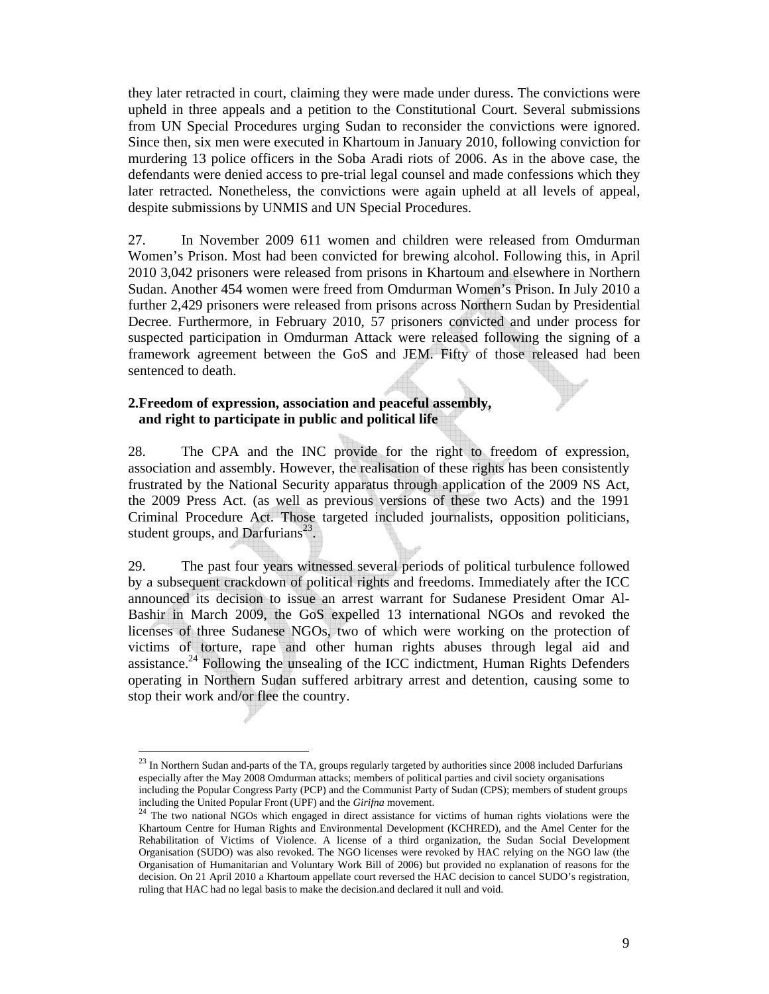they later retracted in court, claiming they were made under duress. The convictions were upheld in three appeals and a petition to the Constitutional Court. Several submissions from UN Special Procedures urging Sudan to reconsider the convictions were ignored. Since then, six men were executed in Khartoum in January 2010, following conviction for murdering 13 police officers in the Soba Aradi riots of 2006. As in the above case, the defendants were denied access to pre-trial legal counsel and made confessions which they later retracted. Nonetheless, the convictions were again upheld at all levels of appeal, despite submissions by UNMIS and UN Special Procedures.

27. In November 2009 611 women and children were released from Omdurman Women's Prison. Most had been convicted for brewing alcohol. Following this, in April 2010 3,042 prisoners were released from prisons in Khartoum and elsewhere in Northern Sudan. Another 454 women were freed from Omdurman Women's Prison. In July 2010 a further 2,429 prisoners were released from prisons across Northern Sudan by Presidential Decree. Furthermore, in February 2010, 57 prisoners convicted and under process for suspected participation in Omdurman Attack were released following the signing of a framework agreement between the GoS and JEM. Fifty of those released had been sentenced to death.

## **2.Freedom of expression, association and peaceful assembly, and right to participate in public and political life**

28. The CPA and the INC provide for the right to freedom of expression, association and assembly. However, the realisation of these rights has been consistently frustrated by the National Security apparatus through application of the 2009 NS Act, the 2009 Press Act. (as well as previous versions of these two Acts) and the 1991 Criminal Procedure Act. Those targeted included journalists, opposition politicians, student groups, and Darfurians<sup>23</sup>.

29. The past four years witnessed several periods of political turbulence followed by a subsequent crackdown of political rights and freedoms. Immediately after the ICC announced its decision to issue an arrest warrant for Sudanese President Omar Al-Bashir in March 2009, the GoS expelled 13 international NGOs and revoked the licenses of three Sudanese NGOs, two of which were working on the protection of victims of torture, rape and other human rights abuses through legal aid and assistance.<sup>24</sup> Following the unsealing of the ICC indictment, Human Rights Defenders operating in Northern Sudan suffered arbitrary arrest and detention, causing some to stop their work and/or flee the country.

 $^{23}$  In Northern Sudan and parts of the TA, groups regularly targeted by authorities since 2008 included Darfurians especially after the May 2008 Omdurman attacks; members of political parties and civil society organisations

including the Popular Congress Party (PCP) and the Communist Party of Sudan (CPS); members of student groups including the United Popular Front (UPF) and the Girifna movement.

<sup>&</sup>lt;sup>24</sup> The two national NGOs which engaged in direct assistance for victims of human rights violations were the Khartoum Centre for Human Rights and Environmental Development (KCHRED), and the Amel Center for the Rehabilitation of Victims of Violence. A license of a third organization, the Sudan Social Development Organisation (SUDO) was also revoked. The NGO licenses were revoked by HAC relying on the NGO law (the Organisation of Humanitarian and Voluntary Work Bill of 2006) but provided no explanation of reasons for the decision. On 21 April 2010 a Khartoum appellate court reversed the HAC decision to cancel SUDO's registration, ruling that HAC had no legal basis to make the decision.and declared it null and void.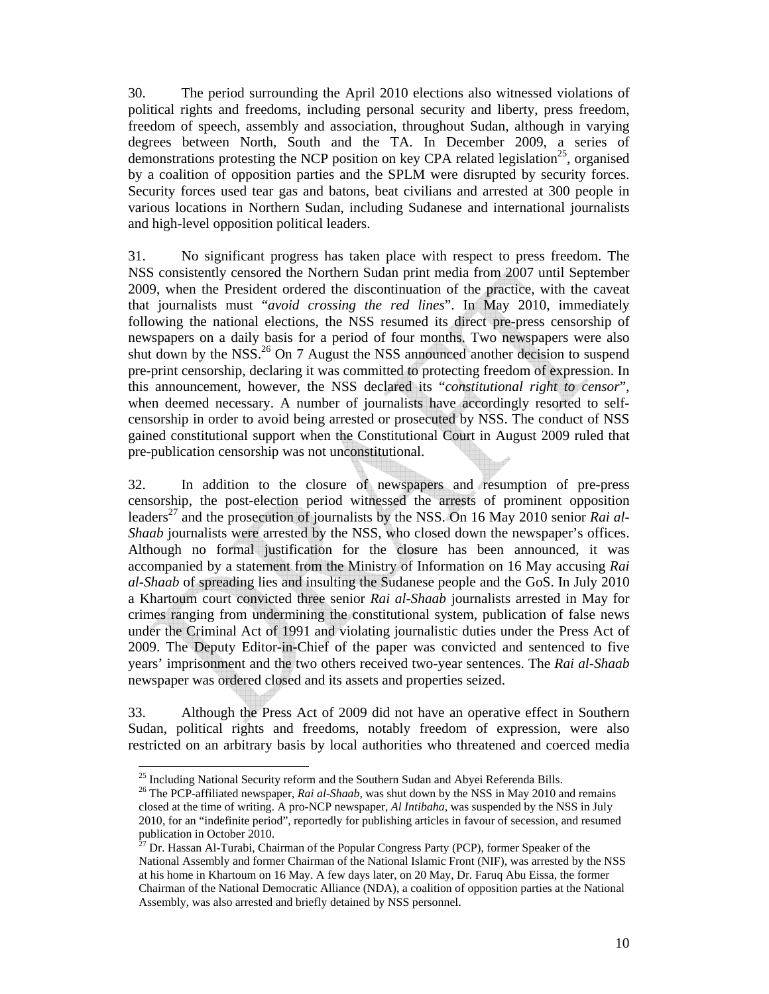30. The period surrounding the April 2010 elections also witnessed violations of political rights and freedoms, including personal security and liberty, press freedom, freedom of speech, assembly and association, throughout Sudan, although in varying degrees between North, South and the TA. In December 2009, a series of demonstrations protesting the NCP position on key CPA related legislation<sup>25</sup>, organised by a coalition of opposition parties and the SPLM were disrupted by security forces. Security forces used tear gas and batons, beat civilians and arrested at 300 people in various locations in Northern Sudan, including Sudanese and international journalists and high-level opposition political leaders.

31. No significant progress has taken place with respect to press freedom. The NSS consistently censored the Northern Sudan print media from 2007 until September 2009, when the President ordered the discontinuation of the practice, with the caveat that journalists must "*avoid crossing the red lines*". In May 2010, immediately following the national elections, the NSS resumed its direct pre-press censorship of newspapers on a daily basis for a period of four months. Two newspapers were also shut down by the NSS.<sup>26</sup> On 7 August the NSS announced another decision to suspend pre-print censorship, declaring it was committed to protecting freedom of expression. In this announcement, however, the NSS declared its "*constitutional right to censor*", when deemed necessary. A number of journalists have accordingly resorted to selfcensorship in order to avoid being arrested or prosecuted by NSS. The conduct of NSS gained constitutional support when the Constitutional Court in August 2009 ruled that pre-publication censorship was not unconstitutional.

32. In addition to the closure of newspapers and resumption of pre-press censorship, the post-election period witnessed the arrests of prominent opposition leaders<sup>27</sup> and the prosecution of journalists by the NSS. On 16 May 2010 senior *Rai al-Shaab* journalists were arrested by the NSS, who closed down the newspaper's offices. Although no formal justification for the closure has been announced, it was accompanied by a statement from the Ministry of Information on 16 May accusing *Rai al-Shaab* of spreading lies and insulting the Sudanese people and the GoS. In July 2010 a Khartoum court convicted three senior *Rai al-Shaab* journalists arrested in May for crimes ranging from undermining the constitutional system, publication of false news under the Criminal Act of 1991 and violating journalistic duties under the Press Act of 2009. The Deputy Editor-in-Chief of the paper was convicted and sentenced to five years' imprisonment and the two others received two-year sentences. The *Rai al-Shaab* newspaper was ordered closed and its assets and properties seized.

33. Although the Press Act of 2009 did not have an operative effect in Southern Sudan, political rights and freedoms, notably freedom of expression, were also restricted on an arbitrary basis by local authorities who threatened and coerced media

<sup>&</sup>lt;sup>25</sup> Including National Security reform and the Southern Sudan and Abyei Referenda Bills.

<sup>&</sup>lt;sup>26</sup> The PCP-affiliated newspaper, *Rai al-Shaab*, was shut down by the NSS in May 2010 and remains closed at the time of writing. A pro-NCP newspaper, *Al Intibaha,* was suspended by the NSS in July 2010, for an "indefinite period", reportedly for publishing articles in favour of secession, and resumed publication in October 2010.

<sup>27</sup> Dr. Hassan Al-Turabi, Chairman of the Popular Congress Party (PCP), former Speaker of the National Assembly and former Chairman of the National Islamic Front (NIF), was arrested by the NSS at his home in Khartoum on 16 May. A few days later, on 20 May, Dr. Faruq Abu Eissa, the former Chairman of the National Democratic Alliance (NDA), a coalition of opposition parties at the National Assembly, was also arrested and briefly detained by NSS personnel.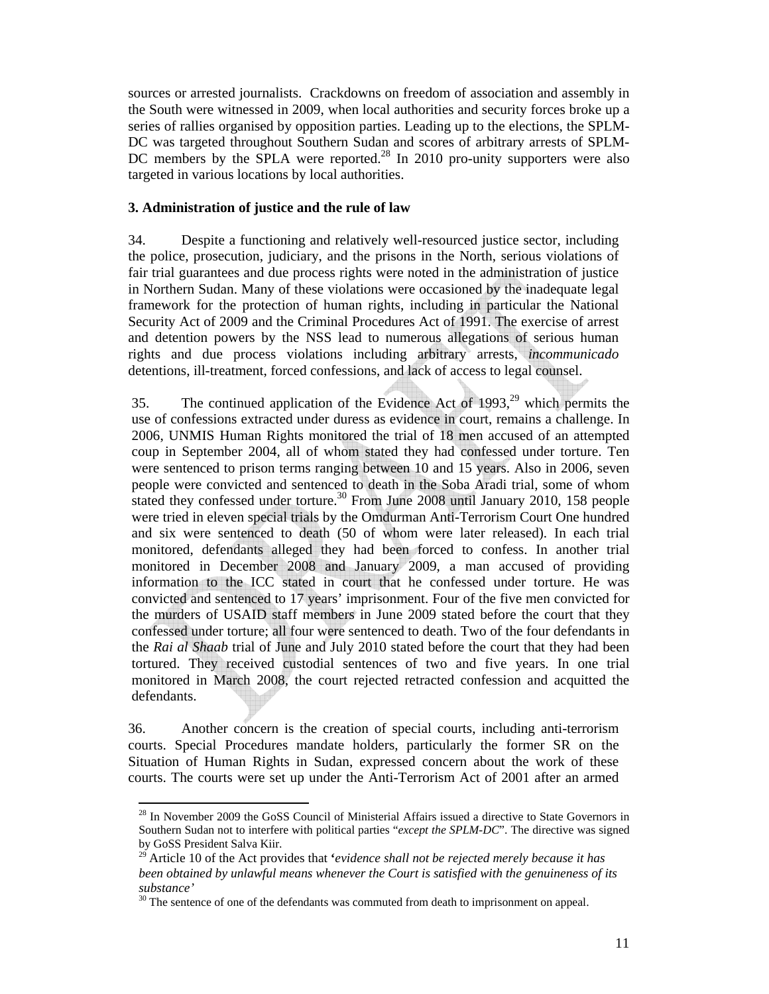sources or arrested journalists. Crackdowns on freedom of association and assembly in the South were witnessed in 2009, when local authorities and security forces broke up a series of rallies organised by opposition parties. Leading up to the elections, the SPLM-DC was targeted throughout Southern Sudan and scores of arbitrary arrests of SPLM-DC members by the SPLA were reported.<sup>28</sup> In 2010 pro-unity supporters were also targeted in various locations by local authorities.

### **3. Administration of justice and the rule of law**

34. Despite a functioning and relatively well-resourced justice sector, including the police, prosecution, judiciary, and the prisons in the North, serious violations of fair trial guarantees and due process rights were noted in the administration of justice in Northern Sudan. Many of these violations were occasioned by the inadequate legal framework for the protection of human rights, including in particular the National Security Act of 2009 and the Criminal Procedures Act of 1991. The exercise of arrest and detention powers by the NSS lead to numerous allegations of serious human rights and due process violations including arbitrary arrests, *incommunicado* detentions, ill-treatment, forced confessions, and lack of access to legal counsel.

35. The continued application of the Evidence Act of  $1993<sup>29</sup>$  which permits the use of confessions extracted under duress as evidence in court, remains a challenge. In 2006, UNMIS Human Rights monitored the trial of 18 men accused of an attempted coup in September 2004, all of whom stated they had confessed under torture. Ten were sentenced to prison terms ranging between 10 and 15 years. Also in 2006, seven people were convicted and sentenced to death in the Soba Aradi trial, some of whom stated they confessed under torture.<sup>30</sup> From June 2008 until January 2010, 158 people were tried in eleven special trials by the Omdurman Anti-Terrorism Court One hundred and six were sentenced to death (50 of whom were later released). In each trial monitored, defendants alleged they had been forced to confess. In another trial monitored in December 2008 and January 2009, a man accused of providing information to the ICC stated in court that he confessed under torture. He was convicted and sentenced to 17 years' imprisonment. Four of the five men convicted for the murders of USAID staff members in June 2009 stated before the court that they confessed under torture; all four were sentenced to death. Two of the four defendants in the *Rai al Shaab* trial of June and July 2010 stated before the court that they had been tortured. They received custodial sentences of two and five years. In one trial monitored in March 2008, the court rejected retracted confession and acquitted the defendants.

36. Another concern is the creation of special courts, including anti-terrorism courts. Special Procedures mandate holders, particularly the former SR on the Situation of Human Rights in Sudan, expressed concern about the work of these courts. The courts were set up under the Anti-Terrorism Act of 2001 after an armed

<sup>&</sup>lt;sup>28</sup> In November 2009 the GoSS Council of Ministerial Affairs issued a directive to State Governors in Southern Sudan not to interfere with political parties "*except the SPLM-DC*". The directive was signed by GoSS President Salva Kiir.

<sup>29</sup> Article 10 of the Act provides that **'***evidence shall not be rejected merely because it has been obtained by unlawful means whenever the Court is satisfied with the genuineness of its substance'*

<sup>&</sup>lt;sup>30</sup> The sentence of one of the defendants was commuted from death to imprisonment on appeal.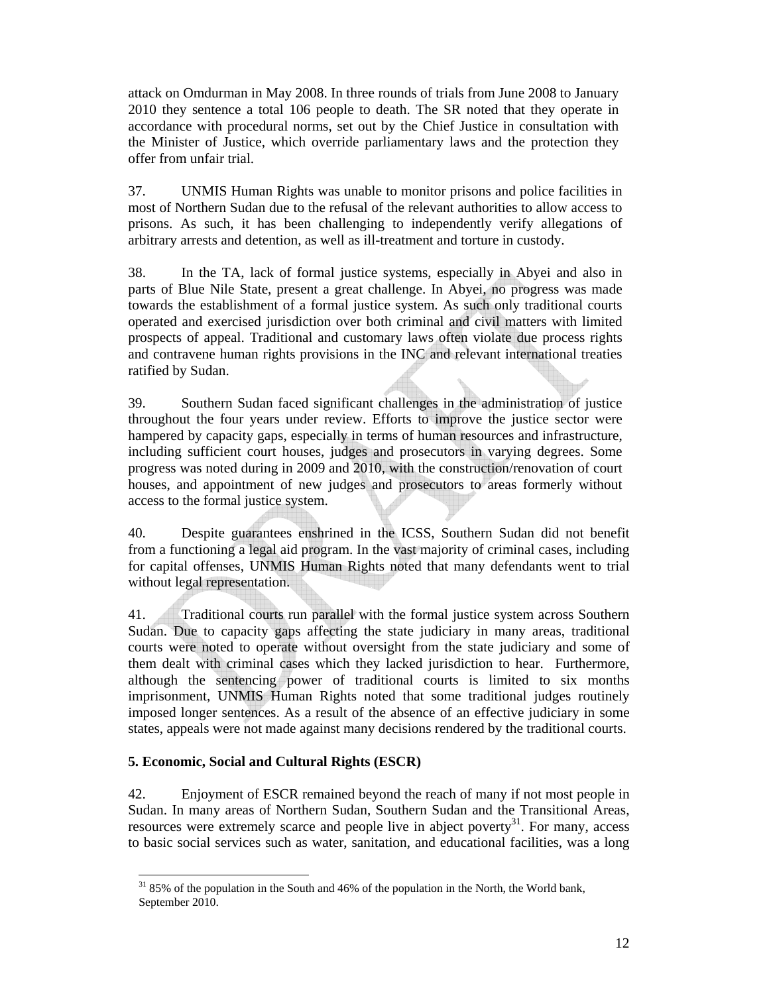attack on Omdurman in May 2008. In three rounds of trials from June 2008 to January 2010 they sentence a total 106 people to death. The SR noted that they operate in accordance with procedural norms, set out by the Chief Justice in consultation with the Minister of Justice, which override parliamentary laws and the protection they offer from unfair trial.

37. UNMIS Human Rights was unable to monitor prisons and police facilities in most of Northern Sudan due to the refusal of the relevant authorities to allow access to prisons. As such, it has been challenging to independently verify allegations of arbitrary arrests and detention, as well as ill-treatment and torture in custody.

38. In the TA, lack of formal justice systems, especially in Abyei and also in parts of Blue Nile State, present a great challenge. In Abyei, no progress was made towards the establishment of a formal justice system. As such only traditional courts operated and exercised jurisdiction over both criminal and civil matters with limited prospects of appeal. Traditional and customary laws often violate due process rights and contravene human rights provisions in the INC and relevant international treaties ratified by Sudan.

39. Southern Sudan faced significant challenges in the administration of justice throughout the four years under review. Efforts to improve the justice sector were hampered by capacity gaps, especially in terms of human resources and infrastructure, including sufficient court houses, judges and prosecutors in varying degrees. Some progress was noted during in 2009 and 2010, with the construction/renovation of court houses, and appointment of new judges and prosecutors to areas formerly without access to the formal justice system.

40. Despite guarantees enshrined in the ICSS, Southern Sudan did not benefit from a functioning a legal aid program. In the vast majority of criminal cases, including for capital offenses, UNMIS Human Rights noted that many defendants went to trial without legal representation.

41. Traditional courts run parallel with the formal justice system across Southern Sudan. Due to capacity gaps affecting the state judiciary in many areas, traditional courts were noted to operate without oversight from the state judiciary and some of them dealt with criminal cases which they lacked jurisdiction to hear. Furthermore, although the sentencing power of traditional courts is limited to six months imprisonment, UNMIS Human Rights noted that some traditional judges routinely imposed longer sentences. As a result of the absence of an effective judiciary in some states, appeals were not made against many decisions rendered by the traditional courts.

## **5. Economic, Social and Cultural Rights (ESCR)**

42. Enjoyment of ESCR remained beyond the reach of many if not most people in Sudan. In many areas of Northern Sudan, Southern Sudan and the Transitional Areas, resources were extremely scarce and people live in abject poverty<sup>31</sup>. For many, access to basic social services such as water, sanitation, and educational facilities, was a long

 $\overline{a}$  $31\,85\%$  of the population in the South and 46% of the population in the North, the World bank, September 2010.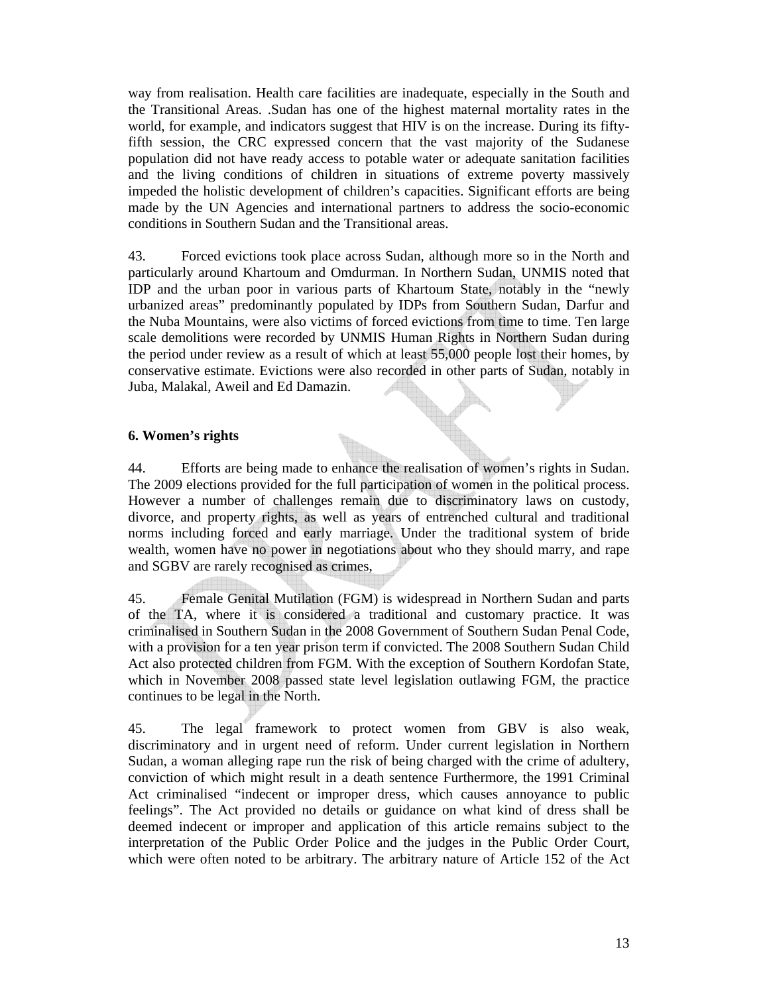way from realisation. Health care facilities are inadequate, especially in the South and the Transitional Areas. .Sudan has one of the highest maternal mortality rates in the world, for example, and indicators suggest that HIV is on the increase. During its fiftyfifth session, the CRC expressed concern that the vast majority of the Sudanese population did not have ready access to potable water or adequate sanitation facilities and the living conditions of children in situations of extreme poverty massively impeded the holistic development of children's capacities. Significant efforts are being made by the UN Agencies and international partners to address the socio-economic conditions in Southern Sudan and the Transitional areas.

43. Forced evictions took place across Sudan, although more so in the North and particularly around Khartoum and Omdurman. In Northern Sudan, UNMIS noted that IDP and the urban poor in various parts of Khartoum State, notably in the "newly urbanized areas" predominantly populated by IDPs from Southern Sudan, Darfur and the Nuba Mountains, were also victims of forced evictions from time to time. Ten large scale demolitions were recorded by UNMIS Human Rights in Northern Sudan during the period under review as a result of which at least 55,000 people lost their homes, by conservative estimate. Evictions were also recorded in other parts of Sudan, notably in Juba, Malakal, Aweil and Ed Damazin.

## **6. Women's rights**

44. Efforts are being made to enhance the realisation of women's rights in Sudan. The 2009 elections provided for the full participation of women in the political process. However a number of challenges remain due to discriminatory laws on custody, divorce, and property rights, as well as years of entrenched cultural and traditional norms including forced and early marriage. Under the traditional system of bride wealth, women have no power in negotiations about who they should marry, and rape and SGBV are rarely recognised as crimes,

45. Female Genital Mutilation (FGM) is widespread in Northern Sudan and parts of the TA, where it is considered a traditional and customary practice. It was criminalised in Southern Sudan in the 2008 Government of Southern Sudan Penal Code, with a provision for a ten year prison term if convicted. The 2008 Southern Sudan Child Act also protected children from FGM. With the exception of Southern Kordofan State, which in November 2008 passed state level legislation outlawing FGM, the practice continues to be legal in the North.

45. The legal framework to protect women from GBV is also weak, discriminatory and in urgent need of reform. Under current legislation in Northern Sudan, a woman alleging rape run the risk of being charged with the crime of adultery, conviction of which might result in a death sentence Furthermore, the 1991 Criminal Act criminalised "indecent or improper dress, which causes annoyance to public feelings". The Act provided no details or guidance on what kind of dress shall be deemed indecent or improper and application of this article remains subject to the interpretation of the Public Order Police and the judges in the Public Order Court, which were often noted to be arbitrary. The arbitrary nature of Article 152 of the Act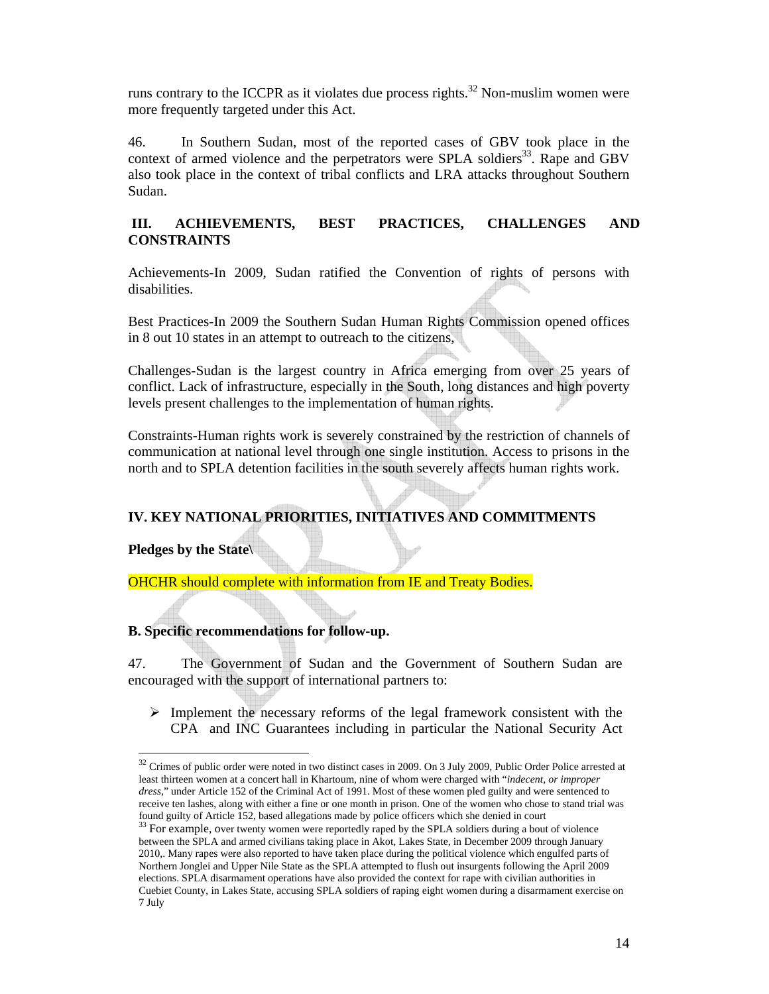runs contrary to the ICCPR as it violates due process rights.<sup>32</sup> Non-muslim women were more frequently targeted under this Act.

46. In Southern Sudan, most of the reported cases of GBV took place in the context of armed violence and the perpetrators were SPLA soldiers<sup>33</sup>. Rape and GBV also took place in the context of tribal conflicts and LRA attacks throughout Southern Sudan.

## **III. ACHIEVEMENTS, BEST PRACTICES, CHALLENGES AND CONSTRAINTS**

Achievements-In 2009, Sudan ratified the Convention of rights of persons with disabilities.

Best Practices-In 2009 the Southern Sudan Human Rights Commission opened offices in 8 out 10 states in an attempt to outreach to the citizens,

Challenges-Sudan is the largest country in Africa emerging from over 25 years of conflict. Lack of infrastructure, especially in the South, long distances and high poverty levels present challenges to the implementation of human rights.

Constraints-Human rights work is severely constrained by the restriction of channels of communication at national level through one single institution. Access to prisons in the north and to SPLA detention facilities in the south severely affects human rights work.

# **IV. KEY NATIONAL PRIORITIES, INITIATIVES AND COMMITMENTS**

**Pledges by the State\** 

 $\overline{a}$ 

OHCHR should complete with information from IE and Treaty Bodies.

### **B. Specific recommendations for follow-up.**

47. The Government of Sudan and the Government of Southern Sudan are encouraged with the support of international partners to:

 $\triangleright$  Implement the necessary reforms of the legal framework consistent with the CPA and INC Guarantees including in particular the National Security Act

 $32$  Crimes of public order were noted in two distinct cases in 2009. On 3 July 2009, Public Order Police arrested at least thirteen women at a concert hall in Khartoum, nine of whom were charged with "*indecent, or improper dress,*" under Article 152 of the Criminal Act of 1991. Most of these women pled guilty and were sentenced to receive ten lashes, along with either a fine or one month in prison. One of the women who chose to stand trial was found guilty of Article 152, based allegations made by police officers which she denied in court

<sup>&</sup>lt;sup>33</sup> For example, over twenty women were reportedly raped by the SPLA soldiers during a bout of violence between the SPLA and armed civilians taking place in Akot, Lakes State, in December 2009 through January 2010,. Many rapes were also reported to have taken place during the political violence which engulfed parts of Northern Jonglei and Upper Nile State as the SPLA attempted to flush out insurgents following the April 2009 elections. SPLA disarmament operations have also provided the context for rape with civilian authorities in Cuebiet County, in Lakes State, accusing SPLA soldiers of raping eight women during a disarmament exercise on 7 July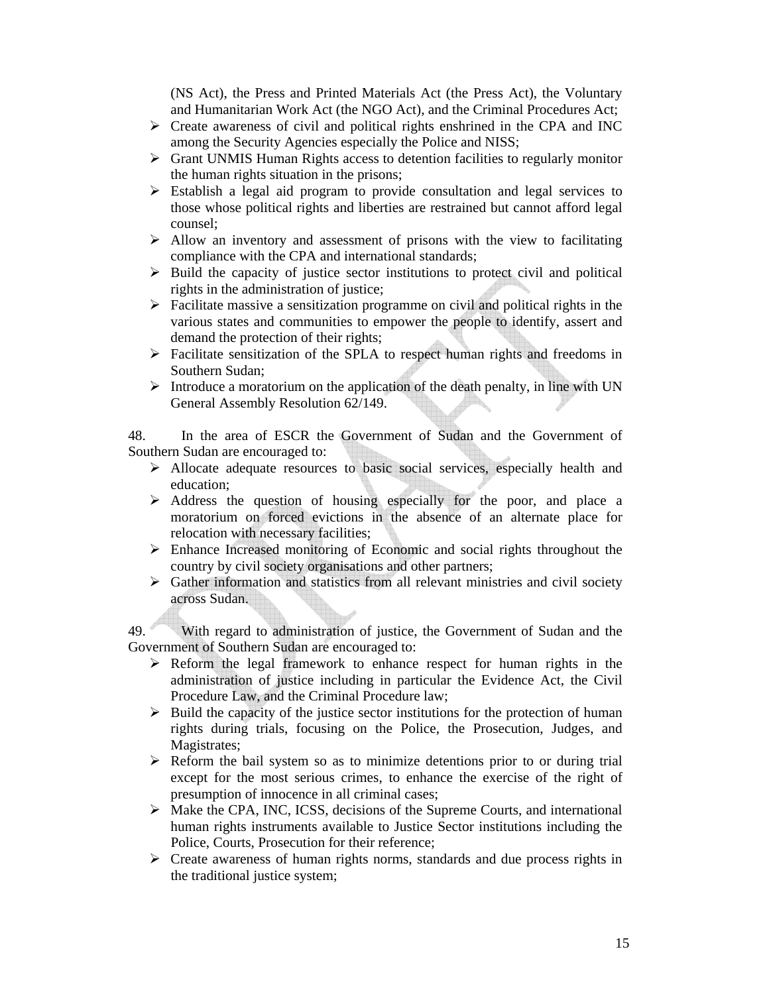(NS Act), the Press and Printed Materials Act (the Press Act), the Voluntary and Humanitarian Work Act (the NGO Act), and the Criminal Procedures Act;

- $\triangleright$  Create awareness of civil and political rights enshrined in the CPA and INC among the Security Agencies especially the Police and NISS;
- $\triangleright$  Grant UNMIS Human Rights access to detention facilities to regularly monitor the human rights situation in the prisons;
- $\triangleright$  Establish a legal aid program to provide consultation and legal services to those whose political rights and liberties are restrained but cannot afford legal counsel;
- $\triangleright$  Allow an inventory and assessment of prisons with the view to facilitating compliance with the CPA and international standards;
- $\triangleright$  Build the capacity of justice sector institutions to protect civil and political rights in the administration of justice;
- $\triangleright$  Facilitate massive a sensitization programme on civil and political rights in the various states and communities to empower the people to identify, assert and demand the protection of their rights;
- $\triangleright$  Facilitate sensitization of the SPLA to respect human rights and freedoms in Southern Sudan;
- $\triangleright$  Introduce a moratorium on the application of the death penalty, in line with UN General Assembly Resolution 62/149.

48. In the area of ESCR the Government of Sudan and the Government of Southern Sudan are encouraged to:

- ¾ Allocate adequate resources to basic social services, especially health and education;
- $\triangleright$  Address the question of housing especially for the poor, and place a moratorium on forced evictions in the absence of an alternate place for relocation with necessary facilities;
- $\triangleright$  Enhance Increased monitoring of Economic and social rights throughout the country by civil society organisations and other partners;
- $\triangleright$  Gather information and statistics from all relevant ministries and civil society across Sudan.

49. With regard to administration of justice, the Government of Sudan and the Government of Southern Sudan are encouraged to:

- ¾ Reform the legal framework to enhance respect for human rights in the administration of justice including in particular the Evidence Act, the Civil Procedure Law, and the Criminal Procedure law;
- $\triangleright$  Build the capacity of the justice sector institutions for the protection of human rights during trials, focusing on the Police, the Prosecution, Judges, and Magistrates;
- $\triangleright$  Reform the bail system so as to minimize detentions prior to or during trial except for the most serious crimes, to enhance the exercise of the right of presumption of innocence in all criminal cases;
- ¾ Make the CPA, INC, ICSS, decisions of the Supreme Courts, and international human rights instruments available to Justice Sector institutions including the Police, Courts, Prosecution for their reference;
- $\triangleright$  Create awareness of human rights norms, standards and due process rights in the traditional justice system;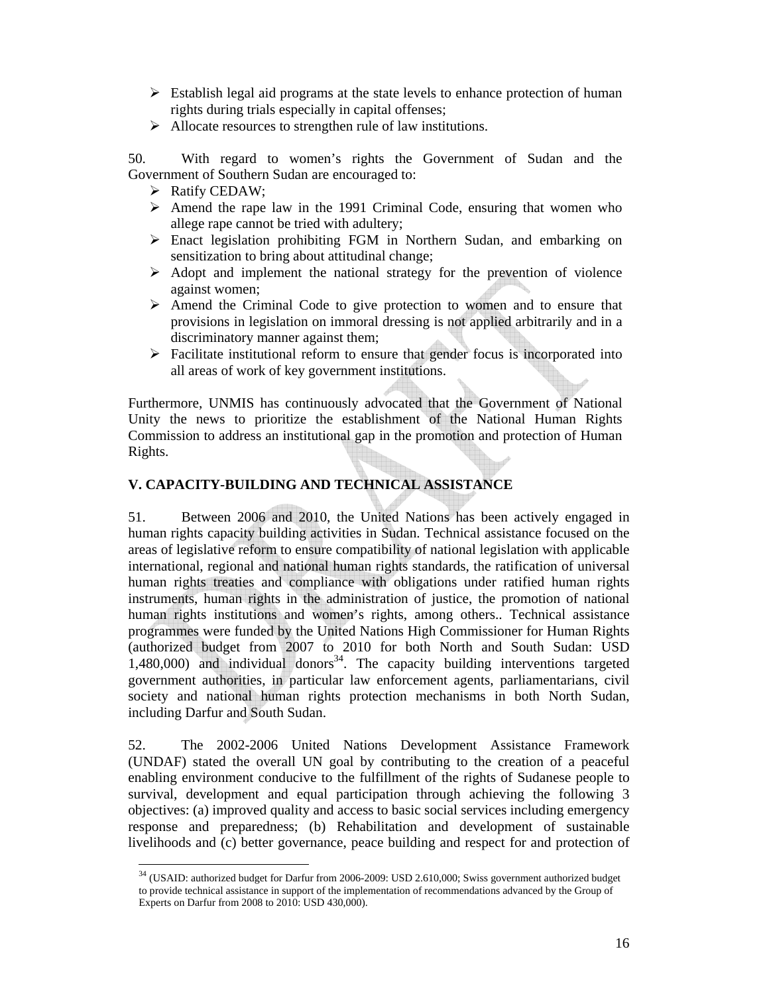- $\triangleright$  Establish legal aid programs at the state levels to enhance protection of human rights during trials especially in capital offenses;
- $\triangleright$  Allocate resources to strengthen rule of law institutions.

50. With regard to women's rights the Government of Sudan and the Government of Southern Sudan are encouraged to:

 $\triangleright$  Ratify CEDAW;

 $\overline{a}$ 

- $\triangleright$  Amend the rape law in the 1991 Criminal Code, ensuring that women who allege rape cannot be tried with adultery;
- ¾ Enact legislation prohibiting FGM in Northern Sudan, and embarking on sensitization to bring about attitudinal change;
- $\triangleright$  Adopt and implement the national strategy for the prevention of violence against women;
- $\triangleright$  Amend the Criminal Code to give protection to women and to ensure that provisions in legislation on immoral dressing is not applied arbitrarily and in a discriminatory manner against them;
- $\triangleright$  Facilitate institutional reform to ensure that gender focus is incorporated into all areas of work of key government institutions.

Furthermore, UNMIS has continuously advocated that the Government of National Unity the news to prioritize the establishment of the National Human Rights Commission to address an institutional gap in the promotion and protection of Human Rights.

## **V. CAPACITY-BUILDING AND TECHNICAL ASSISTANCE**

51. Between 2006 and 2010, the United Nations has been actively engaged in human rights capacity building activities in Sudan. Technical assistance focused on the areas of legislative reform to ensure compatibility of national legislation with applicable international, regional and national human rights standards, the ratification of universal human rights treaties and compliance with obligations under ratified human rights instruments, human rights in the administration of justice, the promotion of national human rights institutions and women's rights, among others.. Technical assistance programmes were funded by the United Nations High Commissioner for Human Rights (authorized budget from 2007 to 2010 for both North and South Sudan: USD  $1,480,000$  and individual donors<sup>34</sup>. The capacity building interventions targeted government authorities, in particular law enforcement agents, parliamentarians, civil society and national human rights protection mechanisms in both North Sudan, including Darfur and South Sudan.

52. The 2002-2006 United Nations Development Assistance Framework (UNDAF) stated the overall UN goal by contributing to the creation of a peaceful enabling environment conducive to the fulfillment of the rights of Sudanese people to survival, development and equal participation through achieving the following 3 objectives: (a) improved quality and access to basic social services including emergency response and preparedness; (b) Rehabilitation and development of sustainable livelihoods and (c) better governance, peace building and respect for and protection of

 $34$  (USAID: authorized budget for Darfur from 2006-2009: USD 2.610,000; Swiss government authorized budget to provide technical assistance in support of the implementation of recommendations advanced by the Group of Experts on Darfur from 2008 to 2010: USD 430,000).